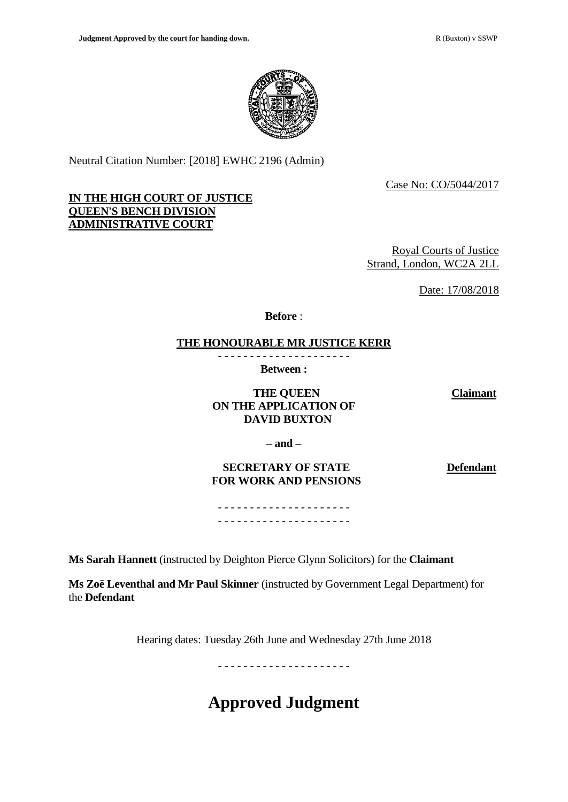

Neutral Citation Number: [2018] EWHC 2196 (Admin)

Case No: CO/5044/2017

## **IN THE HIGH COURT OF JUSTICE QUEEN'S BENCH DIVISION ADMINISTRATIVE COURT**

Royal Courts of Justice Strand, London, WC2A 2LL

Date: 17/08/2018

**Before** :

## **THE HONOURABLE MR JUSTICE KERR**

- - - - - - - - - - - - - - - - - - - - - **Between :**

# **THE QUEEN ON THE APPLICATION OF DAVID BUXTON**

**Claimant**

**– and –**

**SECRETARY OF STATE FOR WORK AND PENSIONS**  **Defendant**

- - - - - - - - - - - - - - - - - - - - - - - - - - - - - - - - - - - - - - - - - -

**Ms Sarah Hannett** (instructed by Deighton Pierce Glynn Solicitors) for the **Claimant**

**Ms Zoë Leventhal and Mr Paul Skinner** (instructed by Government Legal Department) for the **Defendant**

Hearing dates: Tuesday 26th June and Wednesday 27th June 2018

- - - - - - - - - - - - - - - - - - - - -

**Approved Judgment**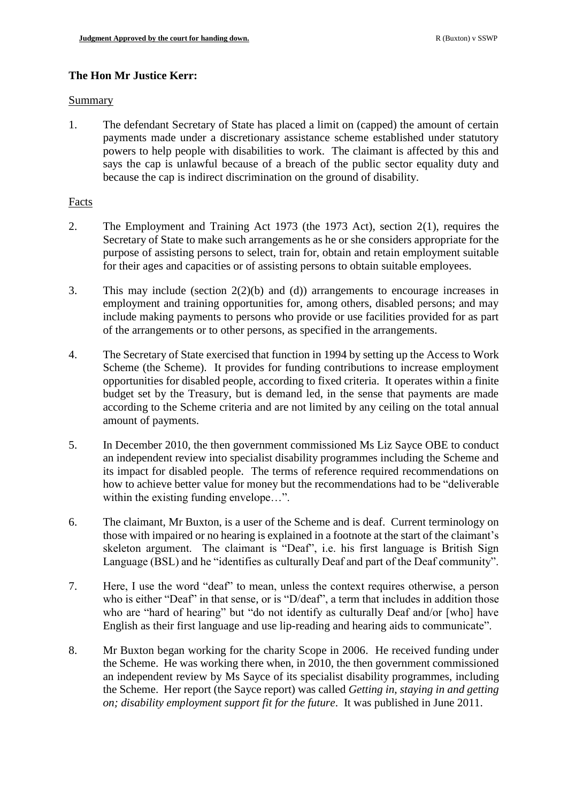# **The Hon Mr Justice Kerr:**

#### Summary

1. The defendant Secretary of State has placed a limit on (capped) the amount of certain payments made under a discretionary assistance scheme established under statutory powers to help people with disabilities to work. The claimant is affected by this and says the cap is unlawful because of a breach of the public sector equality duty and because the cap is indirect discrimination on the ground of disability.

## Facts

- 2. The Employment and Training Act 1973 (the 1973 Act), section 2(1), requires the Secretary of State to make such arrangements as he or she considers appropriate for the purpose of assisting persons to select, train for, obtain and retain employment suitable for their ages and capacities or of assisting persons to obtain suitable employees.
- 3. This may include (section 2(2)(b) and (d)) arrangements to encourage increases in employment and training opportunities for, among others, disabled persons; and may include making payments to persons who provide or use facilities provided for as part of the arrangements or to other persons, as specified in the arrangements.
- 4. The Secretary of State exercised that function in 1994 by setting up the Access to Work Scheme (the Scheme). It provides for funding contributions to increase employment opportunities for disabled people, according to fixed criteria. It operates within a finite budget set by the Treasury, but is demand led, in the sense that payments are made according to the Scheme criteria and are not limited by any ceiling on the total annual amount of payments.
- 5. In December 2010, the then government commissioned Ms Liz Sayce OBE to conduct an independent review into specialist disability programmes including the Scheme and its impact for disabled people. The terms of reference required recommendations on how to achieve better value for money but the recommendations had to be "deliverable within the existing funding envelope...".
- 6. The claimant, Mr Buxton, is a user of the Scheme and is deaf. Current terminology on those with impaired or no hearing is explained in a footnote at the start of the claimant's skeleton argument. The claimant is "Deaf", i.e. his first language is British Sign Language (BSL) and he "identifies as culturally Deaf and part of the Deaf community".
- 7. Here, I use the word "deaf" to mean, unless the context requires otherwise, a person who is either "Deaf" in that sense, or is "D/deaf", a term that includes in addition those who are "hard of hearing" but "do not identify as culturally Deaf and/or [who] have English as their first language and use lip-reading and hearing aids to communicate".
- 8. Mr Buxton began working for the charity Scope in 2006. He received funding under the Scheme. He was working there when, in 2010, the then government commissioned an independent review by Ms Sayce of its specialist disability programmes, including the Scheme. Her report (the Sayce report) was called *Getting in, staying in and getting on; disability employment support fit for the future*. It was published in June 2011.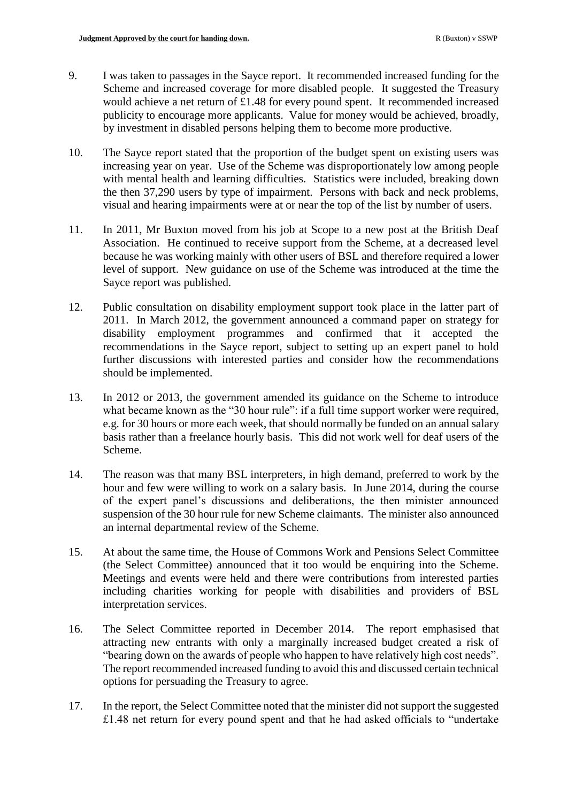- 9. I was taken to passages in the Sayce report. It recommended increased funding for the Scheme and increased coverage for more disabled people. It suggested the Treasury would achieve a net return of £1.48 for every pound spent. It recommended increased publicity to encourage more applicants. Value for money would be achieved, broadly, by investment in disabled persons helping them to become more productive.
- 10. The Sayce report stated that the proportion of the budget spent on existing users was increasing year on year. Use of the Scheme was disproportionately low among people with mental health and learning difficulties. Statistics were included, breaking down the then 37,290 users by type of impairment. Persons with back and neck problems, visual and hearing impairments were at or near the top of the list by number of users.
- 11. In 2011, Mr Buxton moved from his job at Scope to a new post at the British Deaf Association. He continued to receive support from the Scheme, at a decreased level because he was working mainly with other users of BSL and therefore required a lower level of support. New guidance on use of the Scheme was introduced at the time the Sayce report was published.
- 12. Public consultation on disability employment support took place in the latter part of 2011. In March 2012, the government announced a command paper on strategy for disability employment programmes and confirmed that it accepted the recommendations in the Sayce report, subject to setting up an expert panel to hold further discussions with interested parties and consider how the recommendations should be implemented.
- 13. In 2012 or 2013, the government amended its guidance on the Scheme to introduce what became known as the "30 hour rule": if a full time support worker were required, e.g. for 30 hours or more each week, that should normally be funded on an annual salary basis rather than a freelance hourly basis. This did not work well for deaf users of the Scheme.
- 14. The reason was that many BSL interpreters, in high demand, preferred to work by the hour and few were willing to work on a salary basis. In June 2014, during the course of the expert panel's discussions and deliberations, the then minister announced suspension of the 30 hour rule for new Scheme claimants. The minister also announced an internal departmental review of the Scheme.
- 15. At about the same time, the House of Commons Work and Pensions Select Committee (the Select Committee) announced that it too would be enquiring into the Scheme. Meetings and events were held and there were contributions from interested parties including charities working for people with disabilities and providers of BSL interpretation services.
- 16. The Select Committee reported in December 2014. The report emphasised that attracting new entrants with only a marginally increased budget created a risk of "bearing down on the awards of people who happen to have relatively high cost needs". The report recommended increased funding to avoid this and discussed certain technical options for persuading the Treasury to agree.
- 17. In the report, the Select Committee noted that the minister did not support the suggested £1.48 net return for every pound spent and that he had asked officials to "undertake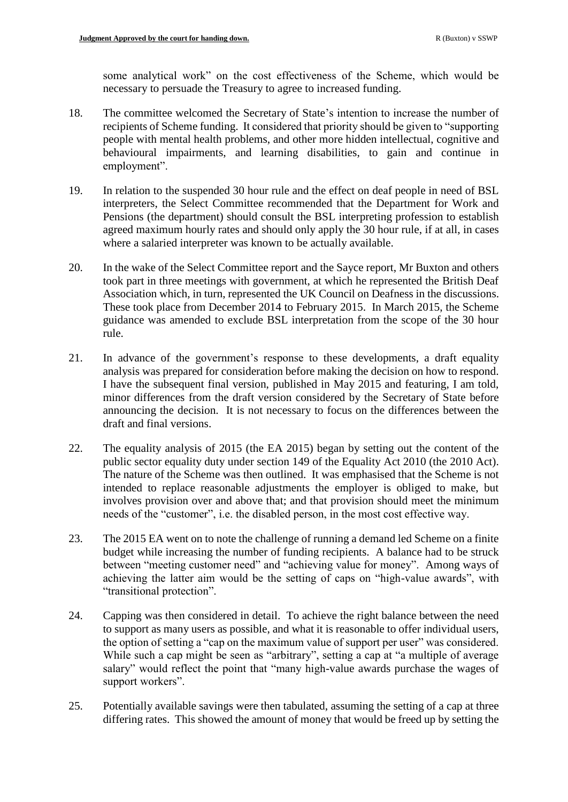some analytical work" on the cost effectiveness of the Scheme, which would be necessary to persuade the Treasury to agree to increased funding.

- 18. The committee welcomed the Secretary of State's intention to increase the number of recipients of Scheme funding. It considered that priority should be given to "supporting people with mental health problems, and other more hidden intellectual, cognitive and behavioural impairments, and learning disabilities, to gain and continue in employment".
- 19. In relation to the suspended 30 hour rule and the effect on deaf people in need of BSL interpreters, the Select Committee recommended that the Department for Work and Pensions (the department) should consult the BSL interpreting profession to establish agreed maximum hourly rates and should only apply the 30 hour rule, if at all, in cases where a salaried interpreter was known to be actually available.
- 20. In the wake of the Select Committee report and the Sayce report, Mr Buxton and others took part in three meetings with government, at which he represented the British Deaf Association which, in turn, represented the UK Council on Deafness in the discussions. These took place from December 2014 to February 2015. In March 2015, the Scheme guidance was amended to exclude BSL interpretation from the scope of the 30 hour rule.
- 21. In advance of the government's response to these developments, a draft equality analysis was prepared for consideration before making the decision on how to respond. I have the subsequent final version, published in May 2015 and featuring, I am told, minor differences from the draft version considered by the Secretary of State before announcing the decision. It is not necessary to focus on the differences between the draft and final versions.
- 22. The equality analysis of 2015 (the EA 2015) began by setting out the content of the public sector equality duty under section 149 of the Equality Act 2010 (the 2010 Act). The nature of the Scheme was then outlined. It was emphasised that the Scheme is not intended to replace reasonable adjustments the employer is obliged to make, but involves provision over and above that; and that provision should meet the minimum needs of the "customer", i.e. the disabled person, in the most cost effective way.
- 23. The 2015 EA went on to note the challenge of running a demand led Scheme on a finite budget while increasing the number of funding recipients. A balance had to be struck between "meeting customer need" and "achieving value for money". Among ways of achieving the latter aim would be the setting of caps on "high-value awards", with "transitional protection".
- 24. Capping was then considered in detail. To achieve the right balance between the need to support as many users as possible, and what it is reasonable to offer individual users, the option of setting a "cap on the maximum value of support per user" was considered. While such a cap might be seen as "arbitrary", setting a cap at "a multiple of average salary" would reflect the point that "many high-value awards purchase the wages of support workers".
- 25. Potentially available savings were then tabulated, assuming the setting of a cap at three differing rates. This showed the amount of money that would be freed up by setting the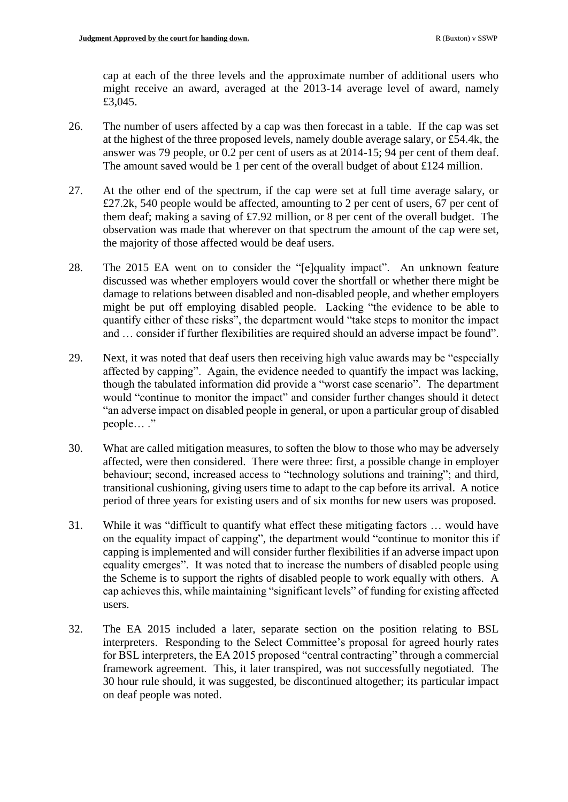cap at each of the three levels and the approximate number of additional users who might receive an award, averaged at the 2013-14 average level of award, namely £3,045.

- 26. The number of users affected by a cap was then forecast in a table. If the cap was set at the highest of the three proposed levels, namely double average salary, or £54.4k, the answer was 79 people, or 0.2 per cent of users as at 2014-15; 94 per cent of them deaf. The amount saved would be 1 per cent of the overall budget of about £124 million.
- 27. At the other end of the spectrum, if the cap were set at full time average salary, or £27.2k, 540 people would be affected, amounting to 2 per cent of users, 67 per cent of them deaf; making a saving of £7.92 million, or 8 per cent of the overall budget. The observation was made that wherever on that spectrum the amount of the cap were set, the majority of those affected would be deaf users.
- 28. The 2015 EA went on to consider the "[e]quality impact". An unknown feature discussed was whether employers would cover the shortfall or whether there might be damage to relations between disabled and non-disabled people, and whether employers might be put off employing disabled people. Lacking "the evidence to be able to quantify either of these risks", the department would "take steps to monitor the impact and … consider if further flexibilities are required should an adverse impact be found".
- 29. Next, it was noted that deaf users then receiving high value awards may be "especially affected by capping". Again, the evidence needed to quantify the impact was lacking, though the tabulated information did provide a "worst case scenario". The department would "continue to monitor the impact" and consider further changes should it detect "an adverse impact on disabled people in general, or upon a particular group of disabled people… ."
- 30. What are called mitigation measures, to soften the blow to those who may be adversely affected, were then considered. There were three: first, a possible change in employer behaviour; second, increased access to "technology solutions and training"; and third, transitional cushioning, giving users time to adapt to the cap before its arrival. A notice period of three years for existing users and of six months for new users was proposed.
- 31. While it was "difficult to quantify what effect these mitigating factors … would have on the equality impact of capping", the department would "continue to monitor this if capping is implemented and will consider further flexibilities if an adverse impact upon equality emerges". It was noted that to increase the numbers of disabled people using the Scheme is to support the rights of disabled people to work equally with others. A cap achieves this, while maintaining "significant levels" of funding for existing affected users.
- 32. The EA 2015 included a later, separate section on the position relating to BSL interpreters. Responding to the Select Committee's proposal for agreed hourly rates for BSL interpreters, the EA 2015 proposed "central contracting" through a commercial framework agreement. This, it later transpired, was not successfully negotiated. The 30 hour rule should, it was suggested, be discontinued altogether; its particular impact on deaf people was noted.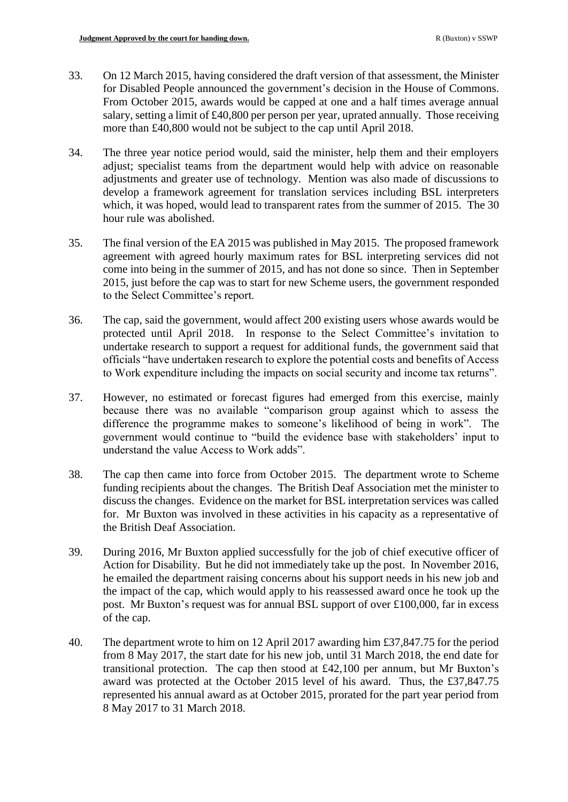- 33. On 12 March 2015, having considered the draft version of that assessment, the Minister for Disabled People announced the government's decision in the House of Commons. From October 2015, awards would be capped at one and a half times average annual salary, setting a limit of £40,800 per person per year, uprated annually. Those receiving more than £40,800 would not be subject to the cap until April 2018.
- 34. The three year notice period would, said the minister, help them and their employers adjust; specialist teams from the department would help with advice on reasonable adjustments and greater use of technology. Mention was also made of discussions to develop a framework agreement for translation services including BSL interpreters which, it was hoped, would lead to transparent rates from the summer of 2015. The 30 hour rule was abolished.
- 35. The final version of the EA 2015 was published in May 2015. The proposed framework agreement with agreed hourly maximum rates for BSL interpreting services did not come into being in the summer of 2015, and has not done so since. Then in September 2015, just before the cap was to start for new Scheme users, the government responded to the Select Committee's report.
- 36. The cap, said the government, would affect 200 existing users whose awards would be protected until April 2018. In response to the Select Committee's invitation to undertake research to support a request for additional funds, the government said that officials "have undertaken research to explore the potential costs and benefits of Access to Work expenditure including the impacts on social security and income tax returns".
- 37. However, no estimated or forecast figures had emerged from this exercise, mainly because there was no available "comparison group against which to assess the difference the programme makes to someone's likelihood of being in work". The government would continue to "build the evidence base with stakeholders' input to understand the value Access to Work adds".
- 38. The cap then came into force from October 2015. The department wrote to Scheme funding recipients about the changes. The British Deaf Association met the minister to discuss the changes. Evidence on the market for BSL interpretation services was called for. Mr Buxton was involved in these activities in his capacity as a representative of the British Deaf Association.
- 39. During 2016, Mr Buxton applied successfully for the job of chief executive officer of Action for Disability. But he did not immediately take up the post. In November 2016, he emailed the department raising concerns about his support needs in his new job and the impact of the cap, which would apply to his reassessed award once he took up the post. Mr Buxton's request was for annual BSL support of over £100,000, far in excess of the cap.
- 40. The department wrote to him on 12 April 2017 awarding him £37,847.75 for the period from 8 May 2017, the start date for his new job, until 31 March 2018, the end date for transitional protection. The cap then stood at £42,100 per annum, but Mr Buxton's award was protected at the October 2015 level of his award. Thus, the £37,847.75 represented his annual award as at October 2015, prorated for the part year period from 8 May 2017 to 31 March 2018.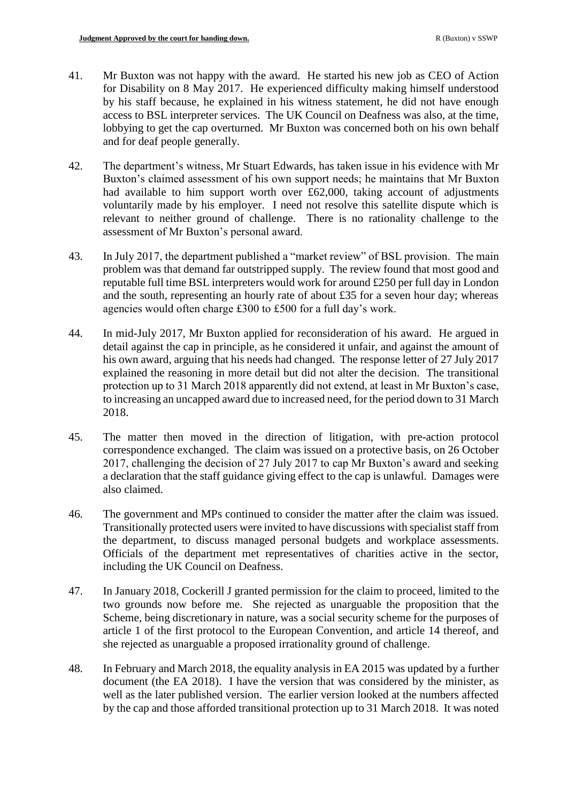- 41. Mr Buxton was not happy with the award. He started his new job as CEO of Action for Disability on 8 May 2017. He experienced difficulty making himself understood by his staff because, he explained in his witness statement, he did not have enough access to BSL interpreter services. The UK Council on Deafness was also, at the time, lobbying to get the cap overturned. Mr Buxton was concerned both on his own behalf and for deaf people generally.
- 42. The department's witness, Mr Stuart Edwards, has taken issue in his evidence with Mr Buxton's claimed assessment of his own support needs; he maintains that Mr Buxton had available to him support worth over £62,000, taking account of adjustments voluntarily made by his employer. I need not resolve this satellite dispute which is relevant to neither ground of challenge. There is no rationality challenge to the assessment of Mr Buxton's personal award.
- 43. In July 2017, the department published a "market review" of BSL provision. The main problem was that demand far outstripped supply. The review found that most good and reputable full time BSL interpreters would work for around £250 per full day in London and the south, representing an hourly rate of about £35 for a seven hour day; whereas agencies would often charge £300 to £500 for a full day's work.
- 44. In mid-July 2017, Mr Buxton applied for reconsideration of his award. He argued in detail against the cap in principle, as he considered it unfair, and against the amount of his own award, arguing that his needs had changed. The response letter of 27 July 2017 explained the reasoning in more detail but did not alter the decision. The transitional protection up to 31 March 2018 apparently did not extend, at least in Mr Buxton's case, to increasing an uncapped award due to increased need, for the period down to 31 March 2018.
- 45. The matter then moved in the direction of litigation, with pre-action protocol correspondence exchanged. The claim was issued on a protective basis, on 26 October 2017, challenging the decision of 27 July 2017 to cap Mr Buxton's award and seeking a declaration that the staff guidance giving effect to the cap is unlawful. Damages were also claimed.
- 46. The government and MPs continued to consider the matter after the claim was issued. Transitionally protected users were invited to have discussions with specialist staff from the department, to discuss managed personal budgets and workplace assessments. Officials of the department met representatives of charities active in the sector, including the UK Council on Deafness.
- 47. In January 2018, Cockerill J granted permission for the claim to proceed, limited to the two grounds now before me. She rejected as unarguable the proposition that the Scheme, being discretionary in nature, was a social security scheme for the purposes of article 1 of the first protocol to the European Convention, and article 14 thereof, and she rejected as unarguable a proposed irrationality ground of challenge.
- 48. In February and March 2018, the equality analysis in EA 2015 was updated by a further document (the EA 2018). I have the version that was considered by the minister, as well as the later published version. The earlier version looked at the numbers affected by the cap and those afforded transitional protection up to 31 March 2018. It was noted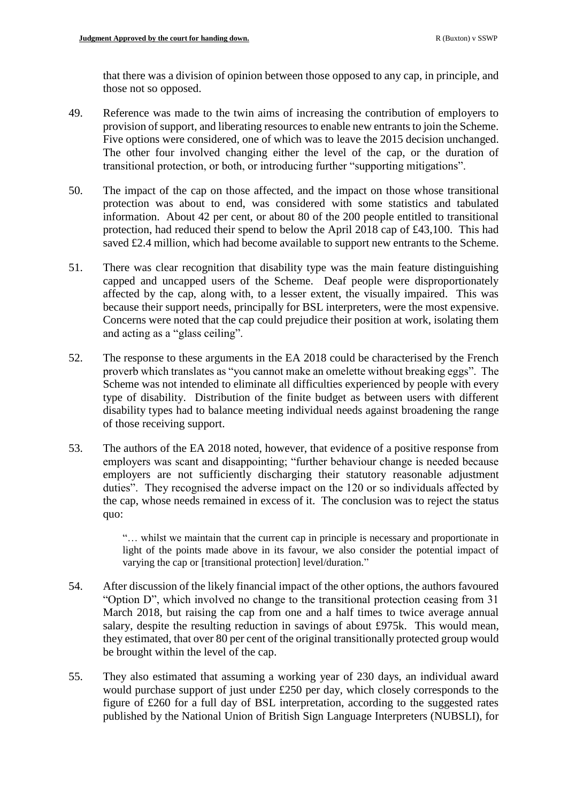that there was a division of opinion between those opposed to any cap, in principle, and those not so opposed.

- 49. Reference was made to the twin aims of increasing the contribution of employers to provision of support, and liberating resources to enable new entrants to join the Scheme. Five options were considered, one of which was to leave the 2015 decision unchanged. The other four involved changing either the level of the cap, or the duration of transitional protection, or both, or introducing further "supporting mitigations".
- 50. The impact of the cap on those affected, and the impact on those whose transitional protection was about to end, was considered with some statistics and tabulated information. About 42 per cent, or about 80 of the 200 people entitled to transitional protection, had reduced their spend to below the April 2018 cap of £43,100. This had saved £2.4 million, which had become available to support new entrants to the Scheme.
- 51. There was clear recognition that disability type was the main feature distinguishing capped and uncapped users of the Scheme. Deaf people were disproportionately affected by the cap, along with, to a lesser extent, the visually impaired. This was because their support needs, principally for BSL interpreters, were the most expensive. Concerns were noted that the cap could prejudice their position at work, isolating them and acting as a "glass ceiling".
- 52. The response to these arguments in the EA 2018 could be characterised by the French proverb which translates as "you cannot make an omelette without breaking eggs". The Scheme was not intended to eliminate all difficulties experienced by people with every type of disability. Distribution of the finite budget as between users with different disability types had to balance meeting individual needs against broadening the range of those receiving support.
- 53. The authors of the EA 2018 noted, however, that evidence of a positive response from employers was scant and disappointing; "further behaviour change is needed because employers are not sufficiently discharging their statutory reasonable adjustment duties". They recognised the adverse impact on the 120 or so individuals affected by the cap, whose needs remained in excess of it. The conclusion was to reject the status quo:

"… whilst we maintain that the current cap in principle is necessary and proportionate in light of the points made above in its favour, we also consider the potential impact of varying the cap or [transitional protection] level/duration."

- 54. After discussion of the likely financial impact of the other options, the authors favoured "Option D", which involved no change to the transitional protection ceasing from 31 March 2018, but raising the cap from one and a half times to twice average annual salary, despite the resulting reduction in savings of about £975k. This would mean, they estimated, that over 80 per cent of the original transitionally protected group would be brought within the level of the cap.
- 55. They also estimated that assuming a working year of 230 days, an individual award would purchase support of just under £250 per day, which closely corresponds to the figure of £260 for a full day of BSL interpretation, according to the suggested rates published by the National Union of British Sign Language Interpreters (NUBSLI), for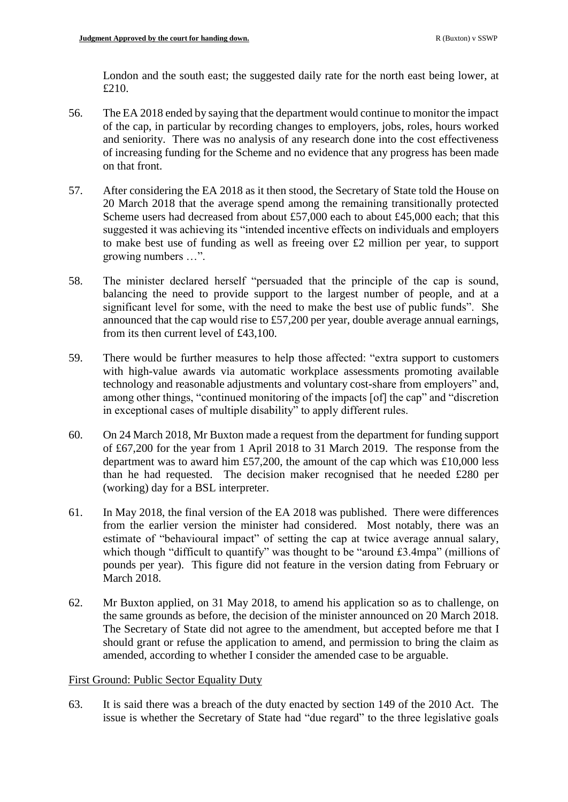London and the south east; the suggested daily rate for the north east being lower, at £210.

- 56. The EA 2018 ended by saying that the department would continue to monitor the impact of the cap, in particular by recording changes to employers, jobs, roles, hours worked and seniority. There was no analysis of any research done into the cost effectiveness of increasing funding for the Scheme and no evidence that any progress has been made on that front.
- 57. After considering the EA 2018 as it then stood, the Secretary of State told the House on 20 March 2018 that the average spend among the remaining transitionally protected Scheme users had decreased from about £57,000 each to about £45,000 each; that this suggested it was achieving its "intended incentive effects on individuals and employers to make best use of funding as well as freeing over £2 million per year, to support growing numbers …".
- 58. The minister declared herself "persuaded that the principle of the cap is sound, balancing the need to provide support to the largest number of people, and at a significant level for some, with the need to make the best use of public funds". She announced that the cap would rise to £57,200 per year, double average annual earnings, from its then current level of £43,100.
- 59. There would be further measures to help those affected: "extra support to customers with high-value awards via automatic workplace assessments promoting available technology and reasonable adjustments and voluntary cost-share from employers" and, among other things, "continued monitoring of the impacts [of] the cap" and "discretion in exceptional cases of multiple disability" to apply different rules.
- 60. On 24 March 2018, Mr Buxton made a request from the department for funding support of £67,200 for the year from 1 April 2018 to 31 March 2019. The response from the department was to award him £57,200, the amount of the cap which was £10,000 less than he had requested. The decision maker recognised that he needed £280 per (working) day for a BSL interpreter.
- 61. In May 2018, the final version of the EA 2018 was published. There were differences from the earlier version the minister had considered. Most notably, there was an estimate of "behavioural impact" of setting the cap at twice average annual salary, which though "difficult to quantify" was thought to be "around £3.4mpa" (millions of pounds per year). This figure did not feature in the version dating from February or March 2018.
- 62. Mr Buxton applied, on 31 May 2018, to amend his application so as to challenge, on the same grounds as before, the decision of the minister announced on 20 March 2018. The Secretary of State did not agree to the amendment, but accepted before me that I should grant or refuse the application to amend, and permission to bring the claim as amended, according to whether I consider the amended case to be arguable.

# First Ground: Public Sector Equality Duty

63. It is said there was a breach of the duty enacted by section 149 of the 2010 Act. The issue is whether the Secretary of State had "due regard" to the three legislative goals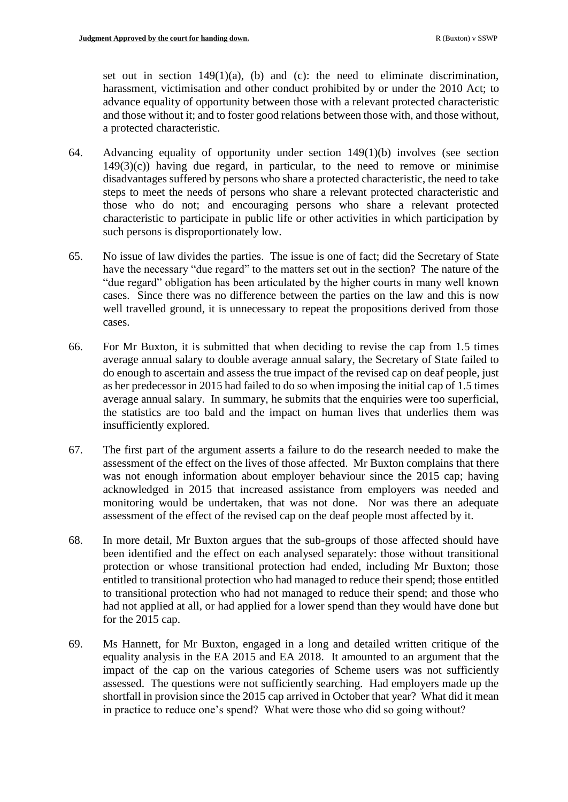set out in section  $149(1)(a)$ , (b) and (c): the need to eliminate discrimination, harassment, victimisation and other conduct prohibited by or under the 2010 Act; to advance equality of opportunity between those with a relevant protected characteristic and those without it; and to foster good relations between those with, and those without, a protected characteristic.

- 64. Advancing equality of opportunity under section 149(1)(b) involves (see section  $149(3)(c)$ ) having due regard, in particular, to the need to remove or minimise disadvantages suffered by persons who share a protected characteristic, the need to take steps to meet the needs of persons who share a relevant protected characteristic and those who do not; and encouraging persons who share a relevant protected characteristic to participate in public life or other activities in which participation by such persons is disproportionately low.
- 65. No issue of law divides the parties. The issue is one of fact; did the Secretary of State have the necessary "due regard" to the matters set out in the section? The nature of the "due regard" obligation has been articulated by the higher courts in many well known cases. Since there was no difference between the parties on the law and this is now well travelled ground, it is unnecessary to repeat the propositions derived from those cases.
- 66. For Mr Buxton, it is submitted that when deciding to revise the cap from 1.5 times average annual salary to double average annual salary, the Secretary of State failed to do enough to ascertain and assess the true impact of the revised cap on deaf people, just as her predecessor in 2015 had failed to do so when imposing the initial cap of 1.5 times average annual salary. In summary, he submits that the enquiries were too superficial, the statistics are too bald and the impact on human lives that underlies them was insufficiently explored.
- 67. The first part of the argument asserts a failure to do the research needed to make the assessment of the effect on the lives of those affected. Mr Buxton complains that there was not enough information about employer behaviour since the 2015 cap; having acknowledged in 2015 that increased assistance from employers was needed and monitoring would be undertaken, that was not done. Nor was there an adequate assessment of the effect of the revised cap on the deaf people most affected by it.
- 68. In more detail, Mr Buxton argues that the sub-groups of those affected should have been identified and the effect on each analysed separately: those without transitional protection or whose transitional protection had ended, including Mr Buxton; those entitled to transitional protection who had managed to reduce their spend; those entitled to transitional protection who had not managed to reduce their spend; and those who had not applied at all, or had applied for a lower spend than they would have done but for the 2015 cap.
- 69. Ms Hannett, for Mr Buxton, engaged in a long and detailed written critique of the equality analysis in the EA 2015 and EA 2018. It amounted to an argument that the impact of the cap on the various categories of Scheme users was not sufficiently assessed. The questions were not sufficiently searching. Had employers made up the shortfall in provision since the 2015 cap arrived in October that year? What did it mean in practice to reduce one's spend? What were those who did so going without?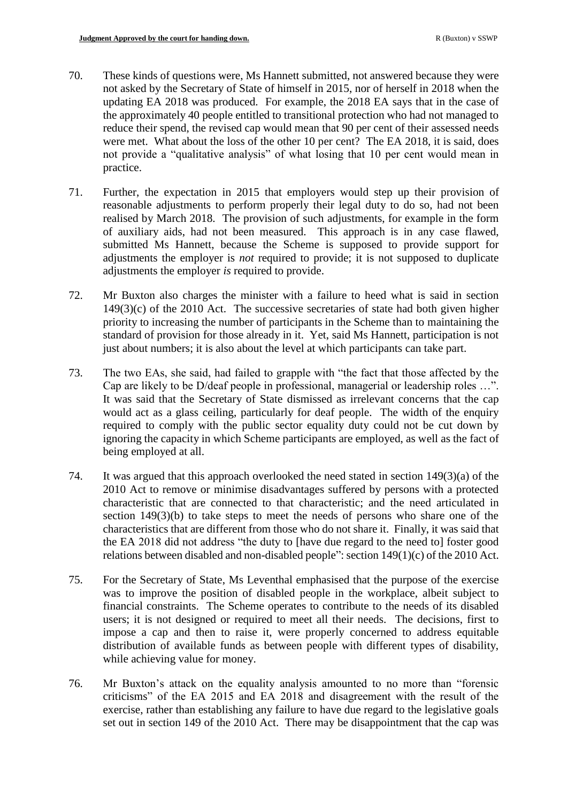- 70. These kinds of questions were, Ms Hannett submitted, not answered because they were not asked by the Secretary of State of himself in 2015, nor of herself in 2018 when the updating EA 2018 was produced. For example, the 2018 EA says that in the case of the approximately 40 people entitled to transitional protection who had not managed to reduce their spend, the revised cap would mean that 90 per cent of their assessed needs were met. What about the loss of the other 10 per cent? The EA 2018, it is said, does not provide a "qualitative analysis" of what losing that 10 per cent would mean in practice.
- 71. Further, the expectation in 2015 that employers would step up their provision of reasonable adjustments to perform properly their legal duty to do so, had not been realised by March 2018. The provision of such adjustments, for example in the form of auxiliary aids, had not been measured. This approach is in any case flawed, submitted Ms Hannett, because the Scheme is supposed to provide support for adjustments the employer is *not* required to provide; it is not supposed to duplicate adjustments the employer *is* required to provide.
- 72. Mr Buxton also charges the minister with a failure to heed what is said in section  $149(3)(c)$  of the 2010 Act. The successive secretaries of state had both given higher priority to increasing the number of participants in the Scheme than to maintaining the standard of provision for those already in it. Yet, said Ms Hannett, participation is not just about numbers; it is also about the level at which participants can take part.
- 73. The two EAs, she said, had failed to grapple with "the fact that those affected by the Cap are likely to be D/deaf people in professional, managerial or leadership roles …". It was said that the Secretary of State dismissed as irrelevant concerns that the cap would act as a glass ceiling, particularly for deaf people. The width of the enquiry required to comply with the public sector equality duty could not be cut down by ignoring the capacity in which Scheme participants are employed, as well as the fact of being employed at all.
- 74. It was argued that this approach overlooked the need stated in section 149(3)(a) of the 2010 Act to remove or minimise disadvantages suffered by persons with a protected characteristic that are connected to that characteristic; and the need articulated in section 149(3)(b) to take steps to meet the needs of persons who share one of the characteristics that are different from those who do not share it. Finally, it was said that the EA 2018 did not address "the duty to [have due regard to the need to] foster good relations between disabled and non-disabled people": section 149(1)(c) of the 2010 Act.
- 75. For the Secretary of State, Ms Leventhal emphasised that the purpose of the exercise was to improve the position of disabled people in the workplace, albeit subject to financial constraints. The Scheme operates to contribute to the needs of its disabled users; it is not designed or required to meet all their needs. The decisions, first to impose a cap and then to raise it, were properly concerned to address equitable distribution of available funds as between people with different types of disability, while achieving value for money.
- 76. Mr Buxton's attack on the equality analysis amounted to no more than "forensic criticisms" of the EA 2015 and EA 2018 and disagreement with the result of the exercise, rather than establishing any failure to have due regard to the legislative goals set out in section 149 of the 2010 Act. There may be disappointment that the cap was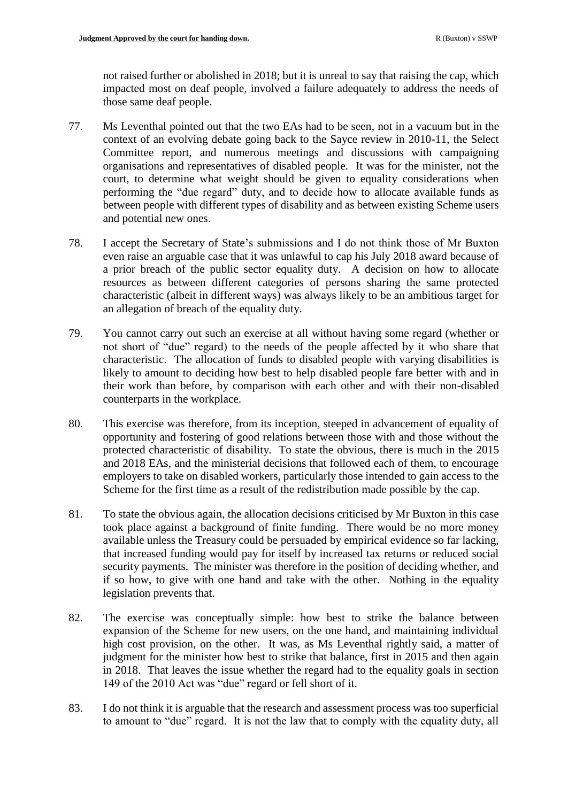not raised further or abolished in 2018; but it is unreal to say that raising the cap, which impacted most on deaf people, involved a failure adequately to address the needs of those same deaf people.

- 77. Ms Leventhal pointed out that the two EAs had to be seen, not in a vacuum but in the context of an evolving debate going back to the Sayce review in 2010-11, the Select Committee report, and numerous meetings and discussions with campaigning organisations and representatives of disabled people. It was for the minister, not the court, to determine what weight should be given to equality considerations when performing the "due regard" duty, and to decide how to allocate available funds as between people with different types of disability and as between existing Scheme users and potential new ones.
- 78. I accept the Secretary of State's submissions and I do not think those of Mr Buxton even raise an arguable case that it was unlawful to cap his July 2018 award because of a prior breach of the public sector equality duty. A decision on how to allocate resources as between different categories of persons sharing the same protected characteristic (albeit in different ways) was always likely to be an ambitious target for an allegation of breach of the equality duty.
- 79. You cannot carry out such an exercise at all without having some regard (whether or not short of "due" regard) to the needs of the people affected by it who share that characteristic. The allocation of funds to disabled people with varying disabilities is likely to amount to deciding how best to help disabled people fare better with and in their work than before, by comparison with each other and with their non-disabled counterparts in the workplace.
- 80. This exercise was therefore, from its inception, steeped in advancement of equality of opportunity and fostering of good relations between those with and those without the protected characteristic of disability. To state the obvious, there is much in the 2015 and 2018 EAs, and the ministerial decisions that followed each of them, to encourage employers to take on disabled workers, particularly those intended to gain access to the Scheme for the first time as a result of the redistribution made possible by the cap.
- 81. To state the obvious again, the allocation decisions criticised by Mr Buxton in this case took place against a background of finite funding. There would be no more money available unless the Treasury could be persuaded by empirical evidence so far lacking, that increased funding would pay for itself by increased tax returns or reduced social security payments. The minister was therefore in the position of deciding whether, and if so how, to give with one hand and take with the other. Nothing in the equality legislation prevents that.
- 82. The exercise was conceptually simple: how best to strike the balance between expansion of the Scheme for new users, on the one hand, and maintaining individual high cost provision, on the other. It was, as Ms Leventhal rightly said, a matter of judgment for the minister how best to strike that balance, first in 2015 and then again in 2018. That leaves the issue whether the regard had to the equality goals in section 149 of the 2010 Act was "due" regard or fell short of it.
- 83. I do not think it is arguable that the research and assessment process was too superficial to amount to "due" regard. It is not the law that to comply with the equality duty, all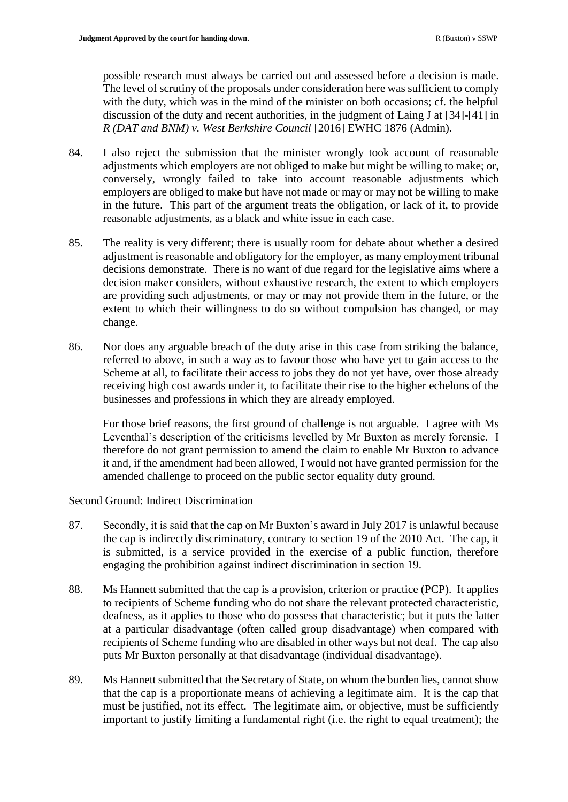possible research must always be carried out and assessed before a decision is made. The level of scrutiny of the proposals under consideration here was sufficient to comply with the duty, which was in the mind of the minister on both occasions; cf. the helpful discussion of the duty and recent authorities, in the judgment of Laing J at [34]-[41] in *R (DAT and BNM) v. West Berkshire Council* [2016] EWHC 1876 (Admin).

- 84. I also reject the submission that the minister wrongly took account of reasonable adjustments which employers are not obliged to make but might be willing to make; or, conversely, wrongly failed to take into account reasonable adjustments which employers are obliged to make but have not made or may or may not be willing to make in the future. This part of the argument treats the obligation, or lack of it, to provide reasonable adjustments, as a black and white issue in each case.
- 85. The reality is very different; there is usually room for debate about whether a desired adjustment is reasonable and obligatory for the employer, as many employment tribunal decisions demonstrate. There is no want of due regard for the legislative aims where a decision maker considers, without exhaustive research, the extent to which employers are providing such adjustments, or may or may not provide them in the future, or the extent to which their willingness to do so without compulsion has changed, or may change.
- 86. Nor does any arguable breach of the duty arise in this case from striking the balance, referred to above, in such a way as to favour those who have yet to gain access to the Scheme at all, to facilitate their access to jobs they do not yet have, over those already receiving high cost awards under it, to facilitate their rise to the higher echelons of the businesses and professions in which they are already employed.

For those brief reasons, the first ground of challenge is not arguable. I agree with Ms Leventhal's description of the criticisms levelled by Mr Buxton as merely forensic. I therefore do not grant permission to amend the claim to enable Mr Buxton to advance it and, if the amendment had been allowed, I would not have granted permission for the amended challenge to proceed on the public sector equality duty ground.

## Second Ground: Indirect Discrimination

- 87. Secondly, it is said that the cap on Mr Buxton's award in July 2017 is unlawful because the cap is indirectly discriminatory, contrary to section 19 of the 2010 Act. The cap, it is submitted, is a service provided in the exercise of a public function, therefore engaging the prohibition against indirect discrimination in section 19.
- 88. Ms Hannett submitted that the cap is a provision, criterion or practice (PCP). It applies to recipients of Scheme funding who do not share the relevant protected characteristic, deafness, as it applies to those who do possess that characteristic; but it puts the latter at a particular disadvantage (often called group disadvantage) when compared with recipients of Scheme funding who are disabled in other ways but not deaf. The cap also puts Mr Buxton personally at that disadvantage (individual disadvantage).
- 89. Ms Hannett submitted that the Secretary of State, on whom the burden lies, cannot show that the cap is a proportionate means of achieving a legitimate aim. It is the cap that must be justified, not its effect. The legitimate aim, or objective, must be sufficiently important to justify limiting a fundamental right (i.e. the right to equal treatment); the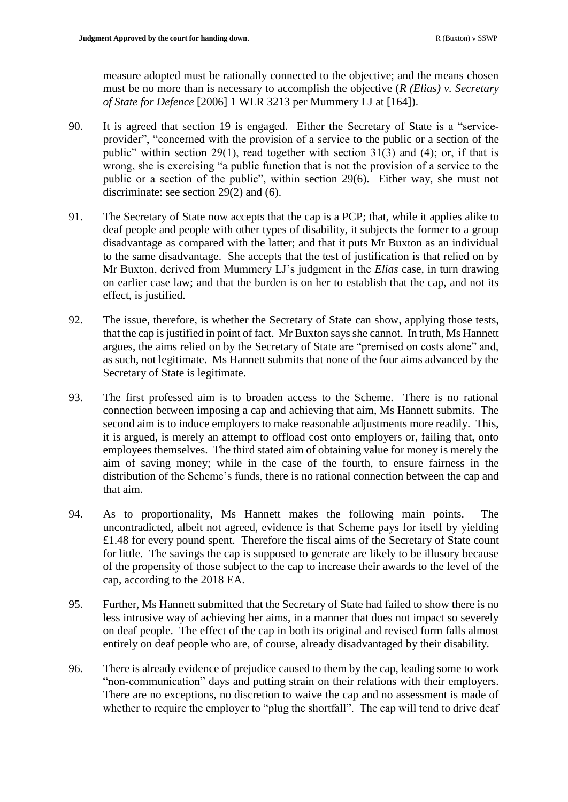measure adopted must be rationally connected to the objective; and the means chosen must be no more than is necessary to accomplish the objective (*R (Elias) v. Secretary of State for Defence* [2006] 1 WLR 3213 per Mummery LJ at [164]).

- 90. It is agreed that section 19 is engaged. Either the Secretary of State is a "serviceprovider", "concerned with the provision of a service to the public or a section of the public" within section 29(1), read together with section 31(3) and (4); or, if that is wrong, she is exercising "a public function that is not the provision of a service to the public or a section of the public", within section 29(6). Either way, she must not discriminate: see section 29(2) and (6).
- 91. The Secretary of State now accepts that the cap is a PCP; that, while it applies alike to deaf people and people with other types of disability, it subjects the former to a group disadvantage as compared with the latter; and that it puts Mr Buxton as an individual to the same disadvantage. She accepts that the test of justification is that relied on by Mr Buxton, derived from Mummery LJ's judgment in the *Elias* case, in turn drawing on earlier case law; and that the burden is on her to establish that the cap, and not its effect, is justified.
- 92. The issue, therefore, is whether the Secretary of State can show, applying those tests, that the cap is justified in point of fact. Mr Buxton says she cannot. In truth, Ms Hannett argues, the aims relied on by the Secretary of State are "premised on costs alone" and, as such, not legitimate. Ms Hannett submits that none of the four aims advanced by the Secretary of State is legitimate.
- 93. The first professed aim is to broaden access to the Scheme. There is no rational connection between imposing a cap and achieving that aim, Ms Hannett submits. The second aim is to induce employers to make reasonable adjustments more readily. This, it is argued, is merely an attempt to offload cost onto employers or, failing that, onto employees themselves. The third stated aim of obtaining value for money is merely the aim of saving money; while in the case of the fourth, to ensure fairness in the distribution of the Scheme's funds, there is no rational connection between the cap and that aim.
- 94. As to proportionality, Ms Hannett makes the following main points. The uncontradicted, albeit not agreed, evidence is that Scheme pays for itself by yielding £1.48 for every pound spent. Therefore the fiscal aims of the Secretary of State count for little. The savings the cap is supposed to generate are likely to be illusory because of the propensity of those subject to the cap to increase their awards to the level of the cap, according to the 2018 EA.
- 95. Further, Ms Hannett submitted that the Secretary of State had failed to show there is no less intrusive way of achieving her aims, in a manner that does not impact so severely on deaf people. The effect of the cap in both its original and revised form falls almost entirely on deaf people who are, of course, already disadvantaged by their disability.
- 96. There is already evidence of prejudice caused to them by the cap, leading some to work "non-communication" days and putting strain on their relations with their employers. There are no exceptions, no discretion to waive the cap and no assessment is made of whether to require the employer to "plug the shortfall". The cap will tend to drive deaf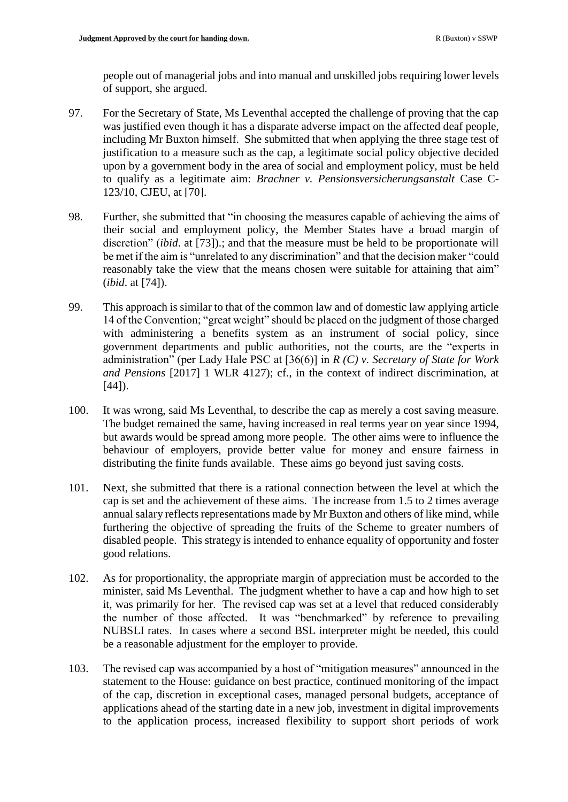people out of managerial jobs and into manual and unskilled jobs requiring lower levels of support, she argued.

- 97. For the Secretary of State, Ms Leventhal accepted the challenge of proving that the cap was justified even though it has a disparate adverse impact on the affected deaf people, including Mr Buxton himself. She submitted that when applying the three stage test of justification to a measure such as the cap, a legitimate social policy objective decided upon by a government body in the area of social and employment policy, must be held to qualify as a legitimate aim: *Brachner v. Pensionsversicherungsanstalt* Case C-123/10, CJEU, at [70].
- 98. Further, she submitted that "in choosing the measures capable of achieving the aims of their social and employment policy, the Member States have a broad margin of discretion" (*ibid*. at [73]).; and that the measure must be held to be proportionate will be met if the aim is "unrelated to any discrimination" and that the decision maker "could reasonably take the view that the means chosen were suitable for attaining that aim" (*ibid*. at [74]).
- 99. This approach is similar to that of the common law and of domestic law applying article 14 of the Convention; "great weight" should be placed on the judgment of those charged with administering a benefits system as an instrument of social policy, since government departments and public authorities, not the courts, are the "experts in administration" (per Lady Hale PSC at [36(6)] in *R (C) v. Secretary of State for Work and Pensions* [2017] 1 WLR 4127); cf., in the context of indirect discrimination, at [44]).
- 100. It was wrong, said Ms Leventhal, to describe the cap as merely a cost saving measure. The budget remained the same, having increased in real terms year on year since 1994, but awards would be spread among more people. The other aims were to influence the behaviour of employers, provide better value for money and ensure fairness in distributing the finite funds available. These aims go beyond just saving costs.
- 101. Next, she submitted that there is a rational connection between the level at which the cap is set and the achievement of these aims. The increase from 1.5 to 2 times average annual salary reflects representations made by Mr Buxton and others of like mind, while furthering the objective of spreading the fruits of the Scheme to greater numbers of disabled people. This strategy is intended to enhance equality of opportunity and foster good relations.
- 102. As for proportionality, the appropriate margin of appreciation must be accorded to the minister, said Ms Leventhal. The judgment whether to have a cap and how high to set it, was primarily for her. The revised cap was set at a level that reduced considerably the number of those affected. It was "benchmarked" by reference to prevailing NUBSLI rates. In cases where a second BSL interpreter might be needed, this could be a reasonable adjustment for the employer to provide.
- 103. The revised cap was accompanied by a host of "mitigation measures" announced in the statement to the House: guidance on best practice, continued monitoring of the impact of the cap, discretion in exceptional cases, managed personal budgets, acceptance of applications ahead of the starting date in a new job, investment in digital improvements to the application process, increased flexibility to support short periods of work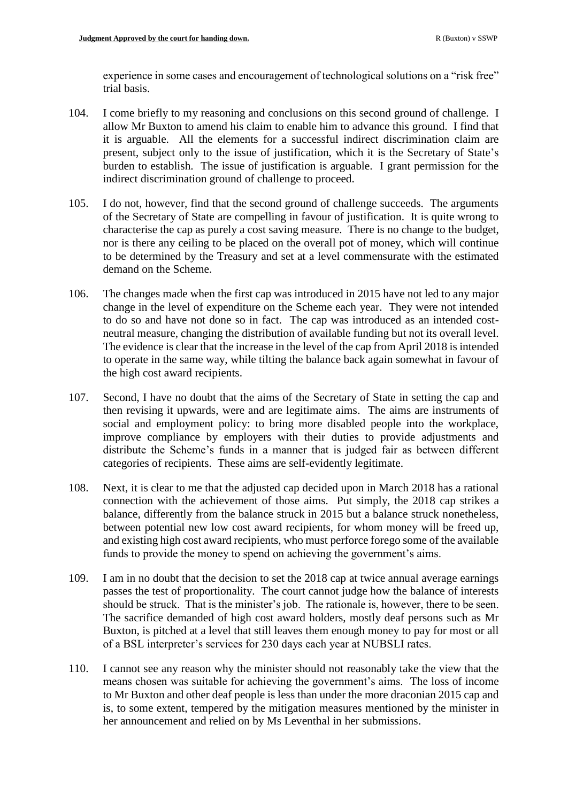experience in some cases and encouragement of technological solutions on a "risk free" trial basis.

- 104. I come briefly to my reasoning and conclusions on this second ground of challenge. I allow Mr Buxton to amend his claim to enable him to advance this ground. I find that it is arguable. All the elements for a successful indirect discrimination claim are present, subject only to the issue of justification, which it is the Secretary of State's burden to establish. The issue of justification is arguable. I grant permission for the indirect discrimination ground of challenge to proceed.
- 105. I do not, however, find that the second ground of challenge succeeds. The arguments of the Secretary of State are compelling in favour of justification. It is quite wrong to characterise the cap as purely a cost saving measure. There is no change to the budget, nor is there any ceiling to be placed on the overall pot of money, which will continue to be determined by the Treasury and set at a level commensurate with the estimated demand on the Scheme.
- 106. The changes made when the first cap was introduced in 2015 have not led to any major change in the level of expenditure on the Scheme each year. They were not intended to do so and have not done so in fact. The cap was introduced as an intended costneutral measure, changing the distribution of available funding but not its overall level. The evidence is clear that the increase in the level of the cap from April 2018 is intended to operate in the same way, while tilting the balance back again somewhat in favour of the high cost award recipients.
- 107. Second, I have no doubt that the aims of the Secretary of State in setting the cap and then revising it upwards, were and are legitimate aims. The aims are instruments of social and employment policy: to bring more disabled people into the workplace, improve compliance by employers with their duties to provide adjustments and distribute the Scheme's funds in a manner that is judged fair as between different categories of recipients. These aims are self-evidently legitimate.
- 108. Next, it is clear to me that the adjusted cap decided upon in March 2018 has a rational connection with the achievement of those aims. Put simply, the 2018 cap strikes a balance, differently from the balance struck in 2015 but a balance struck nonetheless, between potential new low cost award recipients, for whom money will be freed up, and existing high cost award recipients, who must perforce forego some of the available funds to provide the money to spend on achieving the government's aims.
- 109. I am in no doubt that the decision to set the 2018 cap at twice annual average earnings passes the test of proportionality. The court cannot judge how the balance of interests should be struck. That is the minister's job. The rationale is, however, there to be seen. The sacrifice demanded of high cost award holders, mostly deaf persons such as Mr Buxton, is pitched at a level that still leaves them enough money to pay for most or all of a BSL interpreter's services for 230 days each year at NUBSLI rates.
- 110. I cannot see any reason why the minister should not reasonably take the view that the means chosen was suitable for achieving the government's aims. The loss of income to Mr Buxton and other deaf people is less than under the more draconian 2015 cap and is, to some extent, tempered by the mitigation measures mentioned by the minister in her announcement and relied on by Ms Leventhal in her submissions.